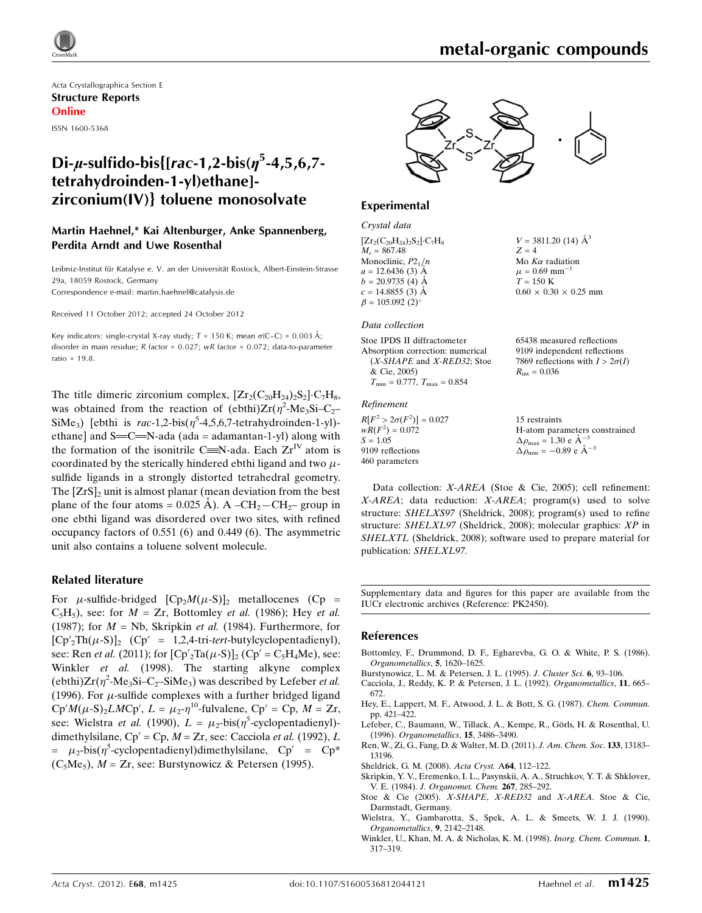

## Di- $\mu$ -sulfido-bis{[rac-1,2-bis( $\eta^5$ -4,5,6,7tetrahydroinden-1-yl)ethane] zirconium(IV)} toluene monosolvate

#### Martin Haehnel,\* Kai Altenburger, Anke Spannenberg, Perdita Arndt and Uwe Rosenthal

Leibniz-Institut für Katalyse e. V. an der Universität Rostock, Albert-Einstein-Strasse 29a, 18059 Rostock, Germany Correspondence e-mail: [martin.haehnel@catalysis.de](https://scripts.iucr.org/cgi-bin/cr.cgi?rm=pdfbb&cnor=pk2450&bbid=BB11)

Received 11 October 2012; accepted 24 October 2012

Key indicators: single-crystal X-ray study;  $T = 150$  K; mean  $\sigma$ (C–C) = 0.003 Å; disorder in main residue; R factor = 0.027; wR factor = 0.072; data-to-parameter ratio = 19.8.

The title dimeric zirconium complex,  $[Zr_2(C_{20}H_{24})_2S_2]\cdot C_7H_8$ , was obtained from the reaction of (ebthi) $Zr(\eta^2 \text{-Me}_3\text{Si}-C_2$ SiMe<sub>3</sub>) [ebthi is  $rac{-1}{2}$ -bis( $\eta^5$ -4,5,6,7-tetrahydroinden-1-yl)ethane] and  $S=C=N$ -ada (ada = adamantan-1-yl) along with the formation of the isonitrile C=N-ada. Each  $Zr^{IV}$  atom is coordinated by the sterically hindered ebthi ligand and two  $\mu$ sulfide ligands in a strongly distorted tetrahedral geometry. The  $[Zrs]_2$  unit is almost planar (mean deviation from the best plane of the four atoms =  $0.025$  Å). A –CH<sub>2</sub>–CH<sub>2</sub>– group in one ebthi ligand was disordered over two sites, with refined occupancy factors of 0.551 (6) and 0.449 (6). The asymmetric unit also contains a toluene solvent molecule.

#### Related literature

For  $\mu$ -sulfide-bridged  $[Cp_2M(\mu-S)]_2$  metallocenes (Cp =  $C_5H_5$ ), see: for  $M = Zr$ , Bottomley *et al.* (1986); Hey *et al.* (1987); for  $M = Nb$ , Skripkin et al. (1984). Furthermore, for  $[Cp'_{2}Th(\mu-S)]_{2}$  (Cp' = 1,2,4-tri-tert-butylcyclopentadienyl), see: Ren *et al.* (2011); for  $[Cp'_{2}Ta(\mu-S)]_{2} (Cp' = C_{5}H_{4}Me)$ , see: Winkler et al. (1998). The starting alkyne complex (ebthi) $Zr(\eta^2 \text{-Me}_3\text{Si}-\text{C}_2\text{-SiMe}_3)$  was described by Lefeber *et al.* (1996). For  $\mu$ -sulfide complexes with a further bridged ligand  $Cp'M(\mu-S)_2LMCp', L = \mu_2 \cdot \eta^{10}$ -fulvalene,  $Cp' = Cp, M = Zr$ , see: Wielstra *et al.* (1990),  $L = \mu_2$ -bis( $\eta^5$ -cyclopentadienyl)dimethylsilane,  $Cp' = Cp$ ,  $M = Zr$ , see: Cacciola et al. (1992), L =  $\mu_2$ -bis( $\eta^5$ -cyclopentadienyl)dimethylsilane, Cp' = Cp<sup>\*</sup>  $(C_5Me_5)$ ,  $M = Zr$ , see: Burstynowicz & Petersen (1995).

 $V = 3811.20$  (14)  $\AA^3$ 

 $0.60 \times 0.30 \times 0.25$  mm

65438 measured reflections 9109 independent reflections 7869 reflections with  $I > 2\sigma(I)$ 

Mo  $K\alpha$  radiation  $\mu$  = 0.69 mm<sup>-1</sup>  $T = 150 \text{ K}$ 

 $R_{\text{int}} = 0.036$ 

 $Z - 4$ 



#### Experimental

Crystal data  $[Zr_2(C_{20}H_{24})_2S_2]\cdot C_7H_8$  $M - 867.48$ Monoclinic,  $P2<sub>1</sub>/n$  $a = 12.6436(3)$  Å  $b = 20.9735(4)$  Å  $c = 14.8855(3)$  Å  $\beta = 105.092$  (2)<sup>o</sup>

#### Data collection

| Stoe IPDS II diffractometer             |  |
|-----------------------------------------|--|
| Absorption correction: numerical        |  |
| (X-SHAPE and X-RED32; Stoe              |  |
| & Cie, 2005)                            |  |
| $T_{\min} = 0.777$ , $T_{\max} = 0.854$ |  |

#### Refinement

 $R[F^2 > 2\sigma(F^2)] = 0.027$  $wR(F^2) = 0.072$  $S = 1.05$ 9109 reflections 460 parameters 15 restraints H-atom parameters constrained  $\Delta \rho_{\text{max}} = 1.30 \text{ e A}^{-3}$  $\Delta \rho_{\rm min} = -0.89 \text{ e A}^{-3}$ 

Data collection: X-AREA (Stoe & Cie, 2005); cell refinement: X-AREA; data reduction: X-AREA; program(s) used to solve structure: SHELXS97 (Sheldrick, 2008); program(s) used to refine structure: SHELXL97 (Sheldrick, 2008); molecular graphics: XP in SHELXTL (Sheldrick, 2008); software used to prepare material for publication: SHELXL97.

Supplementary data and figures for this paper are available from the IUCr electronic archives (Reference: PK2450).

#### References

- [Bottomley, F., Drummond, D. F., Egharevba, G. O. & White, P. S. \(1986\).](https://scripts.iucr.org/cgi-bin/cr.cgi?rm=pdfbb&cnor=pk2450&bbid=BB1) [Organometallics](https://scripts.iucr.org/cgi-bin/cr.cgi?rm=pdfbb&cnor=pk2450&bbid=BB1), 5, 1620–1625.
- [Burstynowicz, L. M. & Petersen, J. L. \(1995\).](https://scripts.iucr.org/cgi-bin/cr.cgi?rm=pdfbb&cnor=pk2450&bbid=BB2) J. Cluster Sci. 6, 93–106.
- [Cacciola, J., Reddy, K. P. & Petersen, J. L. \(1992\).](https://scripts.iucr.org/cgi-bin/cr.cgi?rm=pdfbb&cnor=pk2450&bbid=BB3) Organometallics, 11, 665– [672.](https://scripts.iucr.org/cgi-bin/cr.cgi?rm=pdfbb&cnor=pk2450&bbid=BB3)
- [Hey, E., Lappert, M. F., Atwood, J. L. & Bott, S. G. \(1987\).](https://scripts.iucr.org/cgi-bin/cr.cgi?rm=pdfbb&cnor=pk2450&bbid=BB4) Chem. Commun. [pp. 421–422.](https://scripts.iucr.org/cgi-bin/cr.cgi?rm=pdfbb&cnor=pk2450&bbid=BB4)
- Lefeber, C., Baumann, W., Tillack, A., Kempe, R., Görls, H. & Rosenthal, U. (1996). [Organometallics](https://scripts.iucr.org/cgi-bin/cr.cgi?rm=pdfbb&cnor=pk2450&bbid=BB5), 15, 3486–3490.
- [Ren, W., Zi, G., Fang, D. & Walter, M. D. \(2011\).](https://scripts.iucr.org/cgi-bin/cr.cgi?rm=pdfbb&cnor=pk2450&bbid=BB6) J. Am. Chem. Soc. 133, 13183– [13196.](https://scripts.iucr.org/cgi-bin/cr.cgi?rm=pdfbb&cnor=pk2450&bbid=BB6)
- [Sheldrick, G. M. \(2008\).](https://scripts.iucr.org/cgi-bin/cr.cgi?rm=pdfbb&cnor=pk2450&bbid=BB7) Acta Cryst. A64, 112–122.
- [Skripkin, Y. V., Eremenko, I. L., Pasynskii, A. A., Struchkov, Y. T. & Shklover,](https://scripts.iucr.org/cgi-bin/cr.cgi?rm=pdfbb&cnor=pk2450&bbid=BB8) V. E. (1984). [J. Organomet. Chem.](https://scripts.iucr.org/cgi-bin/cr.cgi?rm=pdfbb&cnor=pk2450&bbid=BB8) 267, 285–292.
- [Stoe & Cie \(2005\).](https://scripts.iucr.org/cgi-bin/cr.cgi?rm=pdfbb&cnor=pk2450&bbid=BB9) X-SHAPE, X-RED32 and X-AREA. Stoe & Cie, [Darmstadt, Germany.](https://scripts.iucr.org/cgi-bin/cr.cgi?rm=pdfbb&cnor=pk2450&bbid=BB9)
- [Wielstra, Y., Gambarotta, S., Spek, A. L. & Smeets, W. J. J. \(1990\).](https://scripts.iucr.org/cgi-bin/cr.cgi?rm=pdfbb&cnor=pk2450&bbid=BB10) [Organometallics](https://scripts.iucr.org/cgi-bin/cr.cgi?rm=pdfbb&cnor=pk2450&bbid=BB10), 9, 2142–2148.
- [Winkler, U., Khan, M. A. & Nicholas, K. M. \(1998\).](https://scripts.iucr.org/cgi-bin/cr.cgi?rm=pdfbb&cnor=pk2450&bbid=BB11) Inorg. Chem. Commun. 1, [317–319.](https://scripts.iucr.org/cgi-bin/cr.cgi?rm=pdfbb&cnor=pk2450&bbid=BB11)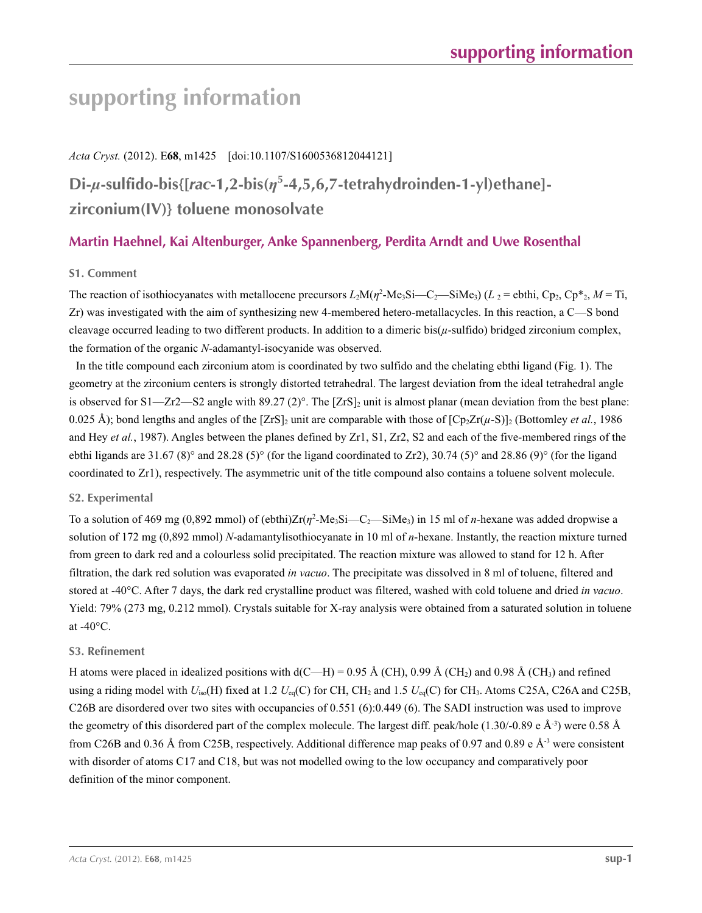### *Acta Cryst.* (2012). E**68**, m1425 [doi:10.1107/S1600536812044121]

## **Di-***µ***-sulfido-bis{[***rac***-1,2-bis(***η***<sup>5</sup> -4,5,6,7-tetrahydroinden-1-yl)ethane] zirconium(IV)} toluene monosolvate**

### **Martin Haehnel, Kai Altenburger, Anke Spannenberg, Perdita Arndt and Uwe Rosenthal**

### **S1. Comment**

The reaction of isothiocyanates with metallocene precursors  $L_2M(\eta^2-Me_3Si-C_2-SiMe_3)$  ( $L_2$  = ebthi, Cp<sub>2</sub>, Cp<sup>\*</sup><sub>2</sub>,  $M = Ti$ , Zr) was investigated with the aim of synthesizing new 4-membered hetero-metallacycles. In this reaction, a C—S bond cleavage occurred leading to two different products. In addition to a dimeric bis(*µ*-sulfido) bridged zirconium complex, the formation of the organic *N*-adamantyl-isocyanide was observed.

In the title compound each zirconium atom is coordinated by two sulfido and the chelating ebthi ligand (Fig. 1). The geometry at the zirconium centers is strongly distorted tetrahedral. The largest deviation from the ideal tetrahedral angle is observed for S1—Zr2—S2 angle with 89.27 (2)°. The  $[ZrS]_2$  unit is almost planar (mean deviation from the best plane: 0.025 Å); bond lengths and angles of the  $[Zrs]_2$  unit are comparable with those of  $[Cp_2Zr(\mu-S)]_2$  (Bottomley *et al.*, 1986) and Hey *et al.*, 1987). Angles between the planes defined by Zr1, S1, Zr2, S2 and each of the five-membered rings of the ebthi ligands are 31.67 (8)° and 28.28 (5)° (for the ligand coordinated to Zr2), 30.74 (5)° and 28.86 (9)° (for the ligand coordinated to Zr1), respectively. The asymmetric unit of the title compound also contains a toluene solvent molecule.

#### **S2. Experimental**

To a solution of 469 mg (0,892 mmol) of (ebthi)Zr(*η*<sup>2</sup>-Me<sub>3</sub>Si—C<sub>2</sub>—SiMe<sub>3</sub>) in 15 ml of *n*-hexane was added dropwise a solution of 172 mg (0,892 mmol) *N*-adamantylisothiocyanate in 10 ml of *n*-hexane. Instantly, the reaction mixture turned from green to dark red and a colourless solid precipitated. The reaction mixture was allowed to stand for 12 h. After filtration, the dark red solution was evaporated *in vacuo*. The precipitate was dissolved in 8 ml of toluene, filtered and stored at -40°C. After 7 days, the dark red crystalline product was filtered, washed with cold toluene and dried *in vacuo*. Yield: 79% (273 mg, 0.212 mmol). Crystals suitable for X-ray analysis were obtained from a saturated solution in toluene at  $-40^{\circ}$ C.

#### **S3. Refinement**

H atoms were placed in idealized positions with  $d(C-H) = 0.95 \text{ Å } (CH)$ , 0.99 Å  $(CH_2)$  and 0.98 Å  $(CH_3)$  and refined using a riding model with  $U_{iso}(H)$  fixed at 1.2  $U_{eq}(C)$  for CH, CH<sub>2</sub> and 1.5  $U_{eq}(C)$  for CH<sub>3</sub>. Atoms C25A, C26A and C25B, C26B are disordered over two sites with occupancies of 0.551 (6):0.449 (6). The SADI instruction was used to improve the geometry of this disordered part of the complex molecule. The largest diff. peak/hole (1.30/-0.89 e Å<sup>-3</sup>) were 0.58 Å from C26B and 0.36 Å from C25B, respectively. Additional difference map peaks of 0.97 and 0.89 e Å<sup>-3</sup> were consistent with disorder of atoms C17 and C18, but was not modelled owing to the low occupancy and comparatively poor definition of the minor component.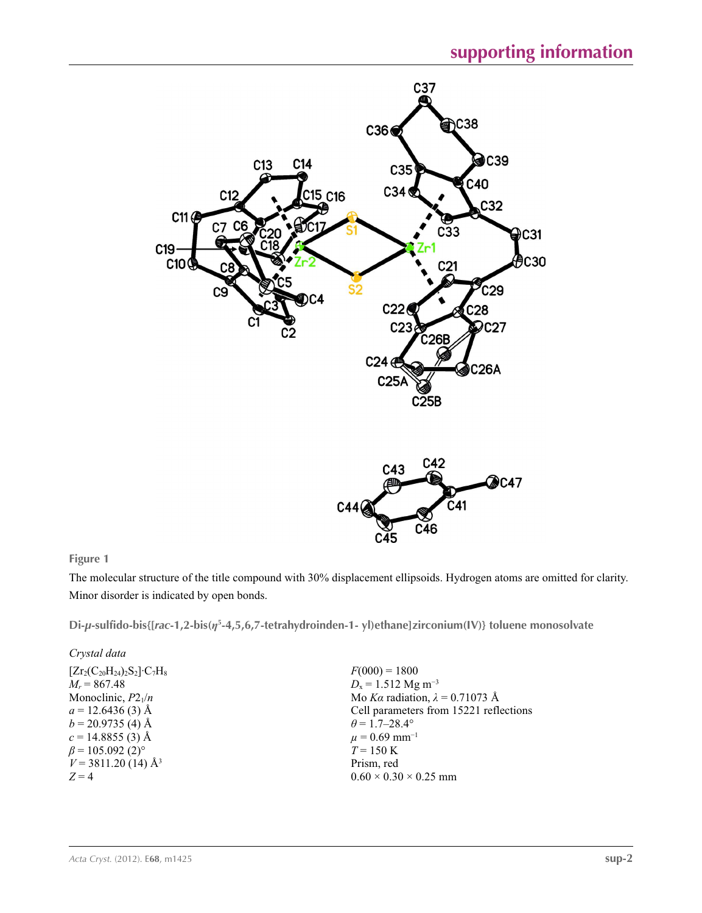



### **Figure 1**

The molecular structure of the title compound with 30% displacement ellipsoids. Hydrogen atoms are omitted for clarity. Minor disorder is indicated by open bonds.

**Di-***µ***-sulfido-bis{[***rac***-1,2-bis(***η***<sup>5</sup> -4,5,6,7-tetrahydroinden-1- yl)ethane]zirconium(IV)} toluene monosolvate** 

| $F(000) = 1800$                        |
|----------------------------------------|
| $D_x = 1.512$ Mg m <sup>-3</sup>       |
| Mo Ka radiation, $\lambda = 0.71073$ Å |
| Cell parameters from 15221 reflections |
| $\theta$ = 1.7–28.4°                   |
| $\mu = 0.69$ mm <sup>-1</sup>          |
| $T = 150 \text{ K}$                    |
| Prism, red                             |
| $0.60 \times 0.30 \times 0.25$ mm      |
|                                        |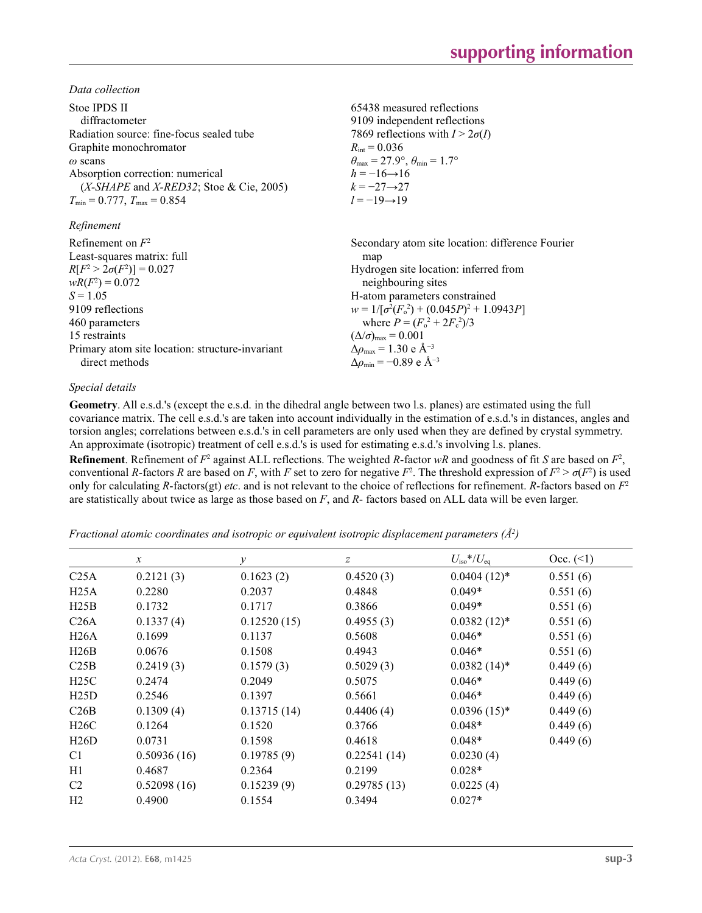*Data collection*

| Stoe IPDS II                                    | 65438 measured reflections                                              |
|-------------------------------------------------|-------------------------------------------------------------------------|
| diffractometer                                  | 9109 independent reflections                                            |
| Radiation source: fine-focus sealed tube        | 7869 reflections with $I > 2\sigma(I)$                                  |
| Graphite monochromator                          | $R_{\text{int}} = 0.036$                                                |
| $\omega$ scans                                  | $\theta_{\text{max}} = 27.9^{\circ}, \theta_{\text{min}} = 1.7^{\circ}$ |
| Absorption correction: numerical                | $h = -16 \rightarrow 16$                                                |
| $(X-SHAPE$ and $X-RED32$ ; Stoe & Cie, 2005)    | $k = -27 \rightarrow 27$                                                |
| $T_{\min} = 0.777$ , $T_{\max} = 0.854$         | $l = -19 \rightarrow 19$                                                |
| Refinement                                      |                                                                         |
| Refinement on $F^2$                             | Secondary atom site location: difference Fourier                        |
| Least-squares matrix: full                      | map                                                                     |
| $R[F^2 > 2\sigma(F^2)] = 0.027$                 | Hydrogen site location: inferred from                                   |
| $wR(F^2) = 0.072$                               | neighbouring sites                                                      |
| $S = 1.05$                                      | H-atom parameters constrained                                           |
| 9109 reflections                                | $w = 1/[\sigma^2(F_0^2) + (0.045P)^2 + 1.0943P]$                        |
| 460 parameters                                  | where $P = (F_o^2 + 2F_c^2)/3$                                          |
| 15 restraints                                   | $(\Delta/\sigma)_{\text{max}} = 0.001$                                  |
| Primary atom site location: structure-invariant | $\Delta \rho_{\text{max}} = 1.30 \text{ e A}^{-3}$                      |
| direct methods                                  | $\Delta\rho_{\rm min} = -0.89$ e Å <sup>-3</sup>                        |

### *Special details*

**Geometry**. All e.s.d.'s (except the e.s.d. in the dihedral angle between two l.s. planes) are estimated using the full covariance matrix. The cell e.s.d.'s are taken into account individually in the estimation of e.s.d.'s in distances, angles and torsion angles; correlations between e.s.d.'s in cell parameters are only used when they are defined by crystal symmetry. An approximate (isotropic) treatment of cell e.s.d.'s is used for estimating e.s.d.'s involving l.s. planes.

**Refinement**. Refinement of  $F^2$  against ALL reflections. The weighted *R*-factor  $wR$  and goodness of fit *S* are based on  $F^2$ , conventional *R*-factors *R* are based on *F*, with *F* set to zero for negative  $F^2$ . The threshold expression of  $F^2 > \sigma(F^2)$  is used only for calculating *R*-factors(gt) *etc*. and is not relevant to the choice of reflections for refinement. *R*-factors based on *F*<sup>2</sup> are statistically about twice as large as those based on *F*, and *R*- factors based on ALL data will be even larger.

*Fractional atomic coordinates and isotropic or equivalent isotropic displacement parameters (Å2 )*

|                  | $\mathcal{X}$ | у           | z           | $U_{\rm iso}*/U_{\rm eq}$ | Occ. (2) |
|------------------|---------------|-------------|-------------|---------------------------|----------|
| C <sub>25A</sub> | 0.2121(3)     | 0.1623(2)   | 0.4520(3)   | $0.0404(12)*$             | 0.551(6) |
| H25A             | 0.2280        | 0.2037      | 0.4848      | $0.049*$                  | 0.551(6) |
| H25B             | 0.1732        | 0.1717      | 0.3866      | $0.049*$                  | 0.551(6) |
| C26A             | 0.1337(4)     | 0.12520(15) | 0.4955(3)   | $0.0382(12)^*$            | 0.551(6) |
| H26A             | 0.1699        | 0.1137      | 0.5608      | $0.046*$                  | 0.551(6) |
| H26B             | 0.0676        | 0.1508      | 0.4943      | $0.046*$                  | 0.551(6) |
| C25B             | 0.2419(3)     | 0.1579(3)   | 0.5029(3)   | $0.0382(14)^*$            | 0.449(6) |
| H25C             | 0.2474        | 0.2049      | 0.5075      | $0.046*$                  | 0.449(6) |
| H25D             | 0.2546        | 0.1397      | 0.5661      | $0.046*$                  | 0.449(6) |
| C26B             | 0.1309(4)     | 0.13715(14) | 0.4406(4)   | $0.0396(15)^*$            | 0.449(6) |
| H26C             | 0.1264        | 0.1520      | 0.3766      | $0.048*$                  | 0.449(6) |
| H26D             | 0.0731        | 0.1598      | 0.4618      | $0.048*$                  | 0.449(6) |
| C <sub>1</sub>   | 0.50936(16)   | 0.19785(9)  | 0.22541(14) | 0.0230(4)                 |          |
| H1               | 0.4687        | 0.2364      | 0.2199      | $0.028*$                  |          |
| C <sub>2</sub>   | 0.52098(16)   | 0.15239(9)  | 0.29785(13) | 0.0225(4)                 |          |
| H <sub>2</sub>   | 0.4900        | 0.1554      | 0.3494      | $0.027*$                  |          |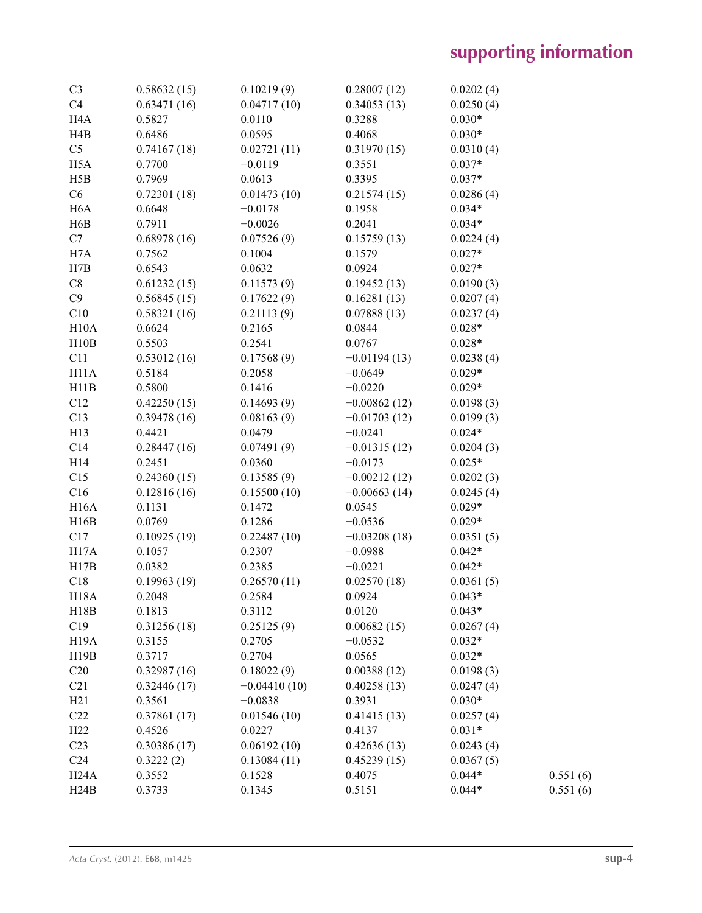| C <sub>3</sub>    | 0.58632(15) | 0.10219(9)     | 0.28007(12)    | 0.0202(4) |          |
|-------------------|-------------|----------------|----------------|-----------|----------|
| C4                | 0.63471(16) | 0.04717(10)    | 0.34053(13)    | 0.0250(4) |          |
| H <sub>4</sub> A  | 0.5827      | 0.0110         | 0.3288         | $0.030*$  |          |
| H4B               | 0.6486      | 0.0595         | 0.4068         | $0.030*$  |          |
| C <sub>5</sub>    | 0.74167(18) | 0.02721(11)    | 0.31970(15)    | 0.0310(4) |          |
| H <sub>5</sub> A  | 0.7700      | $-0.0119$      | 0.3551         | $0.037*$  |          |
| H5B               | 0.7969      | 0.0613         | 0.3395         | $0.037*$  |          |
| C6                | 0.72301(18) | 0.01473(10)    | 0.21574(15)    | 0.0286(4) |          |
| H <sub>6</sub> A  | 0.6648      | $-0.0178$      | 0.1958         | $0.034*$  |          |
| H <sub>6</sub> B  | 0.7911      | $-0.0026$      | 0.2041         | $0.034*$  |          |
| C7                | 0.68978(16) | 0.07526(9)     | 0.15759(13)    | 0.0224(4) |          |
| H7A               | 0.7562      | 0.1004         | 0.1579         | $0.027*$  |          |
| H7B               | 0.6543      | 0.0632         | 0.0924         | $0.027*$  |          |
| C8                | 0.61232(15) | 0.11573(9)     | 0.19452(13)    | 0.0190(3) |          |
| C9                | 0.56845(15) | 0.17622(9)     | 0.16281(13)    | 0.0207(4) |          |
| C10               | 0.58321(16) | 0.21113(9)     | 0.07888(13)    | 0.0237(4) |          |
| H10A              | 0.6624      | 0.2165         | 0.0844         | $0.028*$  |          |
| H10B              | 0.5503      | 0.2541         | 0.0767         | $0.028*$  |          |
| C11               | 0.53012(16) | 0.17568(9)     | $-0.01194(13)$ | 0.0238(4) |          |
| H11A              | 0.5184      | 0.2058         | $-0.0649$      | $0.029*$  |          |
| H11B              | 0.5800      | 0.1416         | $-0.0220$      | $0.029*$  |          |
| C12               | 0.42250(15) | 0.14693(9)     | $-0.00862(12)$ | 0.0198(3) |          |
| C13               | 0.39478(16) | 0.08163(9)     | $-0.01703(12)$ | 0.0199(3) |          |
| H13               | 0.4421      | 0.0479         | $-0.0241$      | $0.024*$  |          |
| C14               | 0.28447(16) | 0.07491(9)     | $-0.01315(12)$ | 0.0204(3) |          |
| H14               | 0.2451      | 0.0360         | $-0.0173$      | $0.025*$  |          |
| C15               | 0.24360(15) | 0.13585(9)     | $-0.00212(12)$ | 0.0202(3) |          |
| C16               | 0.12816(16) | 0.15500(10)    | $-0.00663(14)$ | 0.0245(4) |          |
| H16A              | 0.1131      | 0.1472         | 0.0545         | $0.029*$  |          |
| H16B              | 0.0769      | 0.1286         | $-0.0536$      | $0.029*$  |          |
| C17               | 0.10925(19) | 0.22487(10)    | $-0.03208(18)$ | 0.0351(5) |          |
| H17A              | 0.1057      | 0.2307         | $-0.0988$      | $0.042*$  |          |
| H17B              | 0.0382      | 0.2385         | $-0.0221$      | $0.042*$  |          |
| C18               | 0.19963(19) | 0.26570(11)    | 0.02570(18)    | 0.0361(5) |          |
| <b>H18A</b>       | 0.2048      | 0.2584         | 0.0924         | $0.043*$  |          |
| H18B              | 0.1813      | 0.3112         | 0.0120         | $0.043*$  |          |
| C19               | 0.31256(18) | 0.25125(9)     | 0.00682(15)    | 0.0267(4) |          |
| H <sub>19</sub> A | 0.3155      | 0.2705         | $-0.0532$      | $0.032*$  |          |
| H19B              | 0.3717      | 0.2704         | 0.0565         | $0.032*$  |          |
| C20               | 0.32987(16) | 0.18022(9)     | 0.00388(12)    | 0.0198(3) |          |
| C21               | 0.32446(17) | $-0.04410(10)$ | 0.40258(13)    | 0.0247(4) |          |
| H21               | 0.3561      | $-0.0838$      | 0.3931         | $0.030*$  |          |
| C22               | 0.37861(17) | 0.01546(10)    | 0.41415(13)    | 0.0257(4) |          |
| H22               | 0.4526      | 0.0227         | 0.4137         | $0.031*$  |          |
| C <sub>23</sub>   | 0.30386(17) | 0.06192(10)    | 0.42636(13)    | 0.0243(4) |          |
| C <sub>24</sub>   | 0.3222(2)   | 0.13084(11)    | 0.45239(15)    | 0.0367(5) |          |
| H24A              | 0.3552      | 0.1528         | 0.4075         | $0.044*$  | 0.551(6) |
| H24B              | 0.3733      | 0.1345         | 0.5151         | $0.044*$  | 0.551(6) |
|                   |             |                |                |           |          |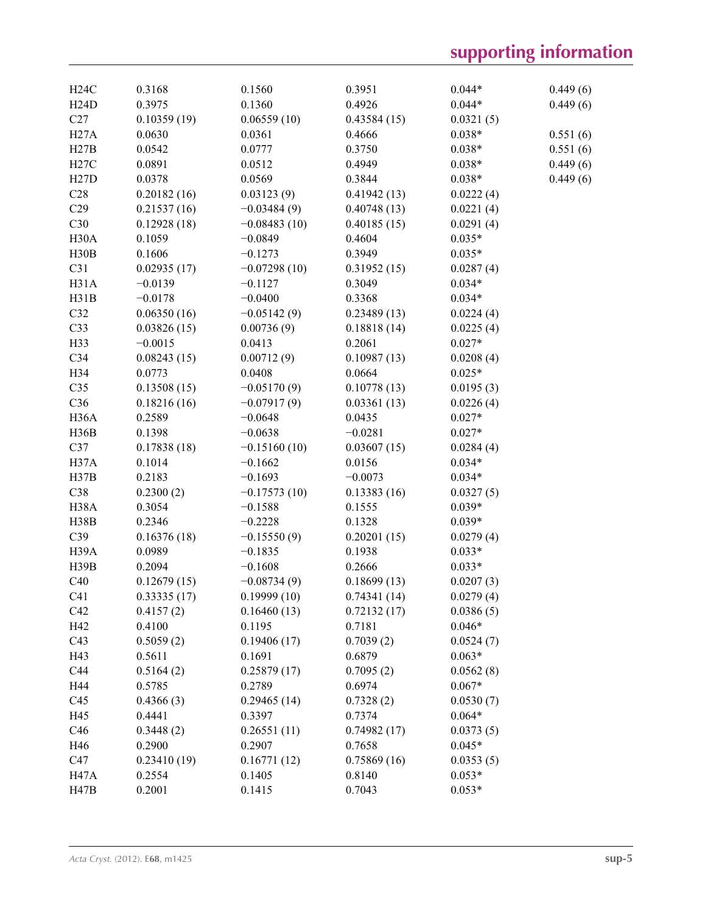| H24C              | 0.3168      | 0.1560         | 0.3951      | $0.044*$  | 0.449(6) |
|-------------------|-------------|----------------|-------------|-----------|----------|
| H24D              | 0.3975      | 0.1360         | 0.4926      | $0.044*$  | 0.449(6) |
| C27               | 0.10359(19) | 0.06559(10)    | 0.43584(15) | 0.0321(5) |          |
| H27A              | 0.0630      | 0.0361         | 0.4666      | $0.038*$  | 0.551(6) |
| H27B              | 0.0542      | 0.0777         | 0.3750      | $0.038*$  | 0.551(6) |
| H27C              | 0.0891      | 0.0512         | 0.4949      | $0.038*$  | 0.449(6) |
| H27D              | 0.0378      | 0.0569         | 0.3844      | $0.038*$  | 0.449(6) |
| C28               | 0.20182(16) | 0.03123(9)     | 0.41942(13) | 0.0222(4) |          |
| C29               | 0.21537(16) | $-0.03484(9)$  | 0.40748(13) | 0.0221(4) |          |
| C30               | 0.12928(18) | $-0.08483(10)$ | 0.40185(15) | 0.0291(4) |          |
| H <sub>30</sub> A | 0.1059      | $-0.0849$      | 0.4604      | $0.035*$  |          |
| H30B              | 0.1606      | $-0.1273$      | 0.3949      | $0.035*$  |          |
| C31               | 0.02935(17) | $-0.07298(10)$ | 0.31952(15) | 0.0287(4) |          |
| H31A              | $-0.0139$   | $-0.1127$      | 0.3049      | $0.034*$  |          |
| H31B              | $-0.0178$   | $-0.0400$      | 0.3368      | $0.034*$  |          |
| C32               | 0.06350(16) | $-0.05142(9)$  | 0.23489(13) | 0.0224(4) |          |
| C33               | 0.03826(15) | 0.00736(9)     | 0.18818(14) | 0.0225(4) |          |
| H33               | $-0.0015$   | 0.0413         | 0.2061      | $0.027*$  |          |
| C34               | 0.08243(15) | 0.00712(9)     | 0.10987(13) | 0.0208(4) |          |
| H34               | 0.0773      | 0.0408         | 0.0664      | $0.025*$  |          |
| C35               | 0.13508(15) | $-0.05170(9)$  | 0.10778(13) | 0.0195(3) |          |
| C36               | 0.18216(16) | $-0.07917(9)$  | 0.03361(13) | 0.0226(4) |          |
| H <sub>36</sub> A | 0.2589      | $-0.0648$      | 0.0435      | $0.027*$  |          |
| H36B              | 0.1398      | $-0.0638$      | $-0.0281$   | $0.027*$  |          |
| C37               | 0.17838(18) | $-0.15160(10)$ | 0.03607(15) | 0.0284(4) |          |
| H37A              | 0.1014      | $-0.1662$      | 0.0156      | $0.034*$  |          |
| H37B              | 0.2183      | $-0.1693$      | $-0.0073$   | $0.034*$  |          |
| C38               | 0.2300(2)   | $-0.17573(10)$ | 0.13383(16) | 0.0327(5) |          |
| H38A              | 0.3054      | $-0.1588$      | 0.1555      | $0.039*$  |          |
| <b>H38B</b>       | 0.2346      | $-0.2228$      | 0.1328      | $0.039*$  |          |
| C39               | 0.16376(18) | $-0.15550(9)$  | 0.20201(15) | 0.0279(4) |          |
| H <sub>39</sub> A | 0.0989      | $-0.1835$      | 0.1938      | $0.033*$  |          |
| H39B              | 0.2094      | $-0.1608$      | 0.2666      | $0.033*$  |          |
| C40               | 0.12679(15) | $-0.08734(9)$  | 0.18699(13) | 0.0207(3) |          |
| C <sub>41</sub>   | 0.33335(17) | 0.19999(10)    | 0.74341(14) | 0.0279(4) |          |
| C42               | 0.4157(2)   | 0.16460(13)    | 0.72132(17) | 0.0386(5) |          |
| H42               | 0.4100      | 0.1195         | 0.7181      | $0.046*$  |          |
| C43               | 0.5059(2)   | 0.19406(17)    | 0.7039(2)   | 0.0524(7) |          |
| H43               | 0.5611      | 0.1691         | 0.6879      | $0.063*$  |          |
| C44               | 0.5164(2)   | 0.25879(17)    | 0.7095(2)   | 0.0562(8) |          |
| H44               | 0.5785      | 0.2789         | 0.6974      | $0.067*$  |          |
| C45               | 0.4366(3)   | 0.29465(14)    | 0.7328(2)   | 0.0530(7) |          |
| H45               | 0.4441      | 0.3397         | 0.7374      | $0.064*$  |          |
| C46               | 0.3448(2)   | 0.26551(11)    | 0.74982(17) | 0.0373(5) |          |
| H46               | 0.2900      | 0.2907         | 0.7658      | $0.045*$  |          |
| C47               | 0.23410(19) | 0.16771(12)    | 0.75869(16) | 0.0353(5) |          |
| <b>H47A</b>       | 0.2554      | 0.1405         | 0.8140      | $0.053*$  |          |
| H47B              | 0.2001      | 0.1415         | 0.7043      | $0.053*$  |          |
|                   |             |                |             |           |          |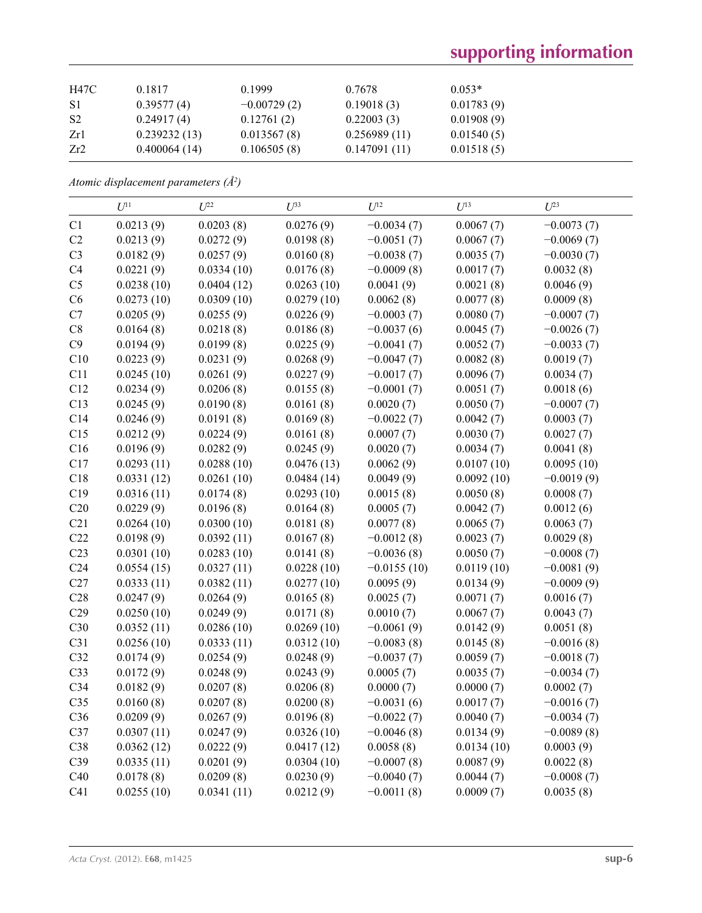| H47C | 0.1817       | 0.1999        | 0.7678       | $0.053*$   |
|------|--------------|---------------|--------------|------------|
| -S1  | 0.39577(4)   | $-0.00729(2)$ | 0.19018(3)   | 0.01783(9) |
| -S2  | 0.24917(4)   | 0.12761(2)    | 0.22003(3)   | 0.01908(9) |
| Zr1  | 0.239232(13) | 0.013567(8)   | 0.256989(11) | 0.01540(5) |
| Zr2  | 0.400064(14) | 0.106505(8)   | 0.147091(11) | 0.01518(5) |

*Atomic displacement parameters (Å2 )*

|                 | $U^{11}$   | $U^{22}$   | $U^{33}$   | $U^{12}$      | $U^{13}$   | $U^{23}$     |
|-----------------|------------|------------|------------|---------------|------------|--------------|
| C1              | 0.0213(9)  | 0.0203(8)  | 0.0276(9)  | $-0.0034(7)$  | 0.0067(7)  | $-0.0073(7)$ |
| C2              | 0.0213(9)  | 0.0272(9)  | 0.0198(8)  | $-0.0051(7)$  | 0.0067(7)  | $-0.0069(7)$ |
| C <sub>3</sub>  | 0.0182(9)  | 0.0257(9)  | 0.0160(8)  | $-0.0038(7)$  | 0.0035(7)  | $-0.0030(7)$ |
| C4              | 0.0221(9)  | 0.0334(10) | 0.0176(8)  | $-0.0009(8)$  | 0.0017(7)  | 0.0032(8)    |
| C <sub>5</sub>  | 0.0238(10) | 0.0404(12) | 0.0263(10) | 0.0041(9)     | 0.0021(8)  | 0.0046(9)    |
| C6              | 0.0273(10) | 0.0309(10) | 0.0279(10) | 0.0062(8)     | 0.0077(8)  | 0.0009(8)    |
| C7              | 0.0205(9)  | 0.0255(9)  | 0.0226(9)  | $-0.0003(7)$  | 0.0080(7)  | $-0.0007(7)$ |
| $\rm{C}8$       | 0.0164(8)  | 0.0218(8)  | 0.0186(8)  | $-0.0037(6)$  | 0.0045(7)  | $-0.0026(7)$ |
| C9              | 0.0194(9)  | 0.0199(8)  | 0.0225(9)  | $-0.0041(7)$  | 0.0052(7)  | $-0.0033(7)$ |
| C10             | 0.0223(9)  | 0.0231(9)  | 0.0268(9)  | $-0.0047(7)$  | 0.0082(8)  | 0.0019(7)    |
| C11             | 0.0245(10) | 0.0261(9)  | 0.0227(9)  | $-0.0017(7)$  | 0.0096(7)  | 0.0034(7)    |
| C12             | 0.0234(9)  | 0.0206(8)  | 0.0155(8)  | $-0.0001(7)$  | 0.0051(7)  | 0.0018(6)    |
| C13             | 0.0245(9)  | 0.0190(8)  | 0.0161(8)  | 0.0020(7)     | 0.0050(7)  | $-0.0007(7)$ |
| C14             | 0.0246(9)  | 0.0191(8)  | 0.0169(8)  | $-0.0022(7)$  | 0.0042(7)  | 0.0003(7)    |
| C15             | 0.0212(9)  | 0.0224(9)  | 0.0161(8)  | 0.0007(7)     | 0.0030(7)  | 0.0027(7)    |
| C16             | 0.0196(9)  | 0.0282(9)  | 0.0245(9)  | 0.0020(7)     | 0.0034(7)  | 0.0041(8)    |
| C17             | 0.0293(11) | 0.0288(10) | 0.0476(13) | 0.0062(9)     | 0.0107(10) | 0.0095(10)   |
| C18             | 0.0331(12) | 0.0261(10) | 0.0484(14) | 0.0049(9)     | 0.0092(10) | $-0.0019(9)$ |
| C19             | 0.0316(11) | 0.0174(8)  | 0.0293(10) | 0.0015(8)     | 0.0050(8)  | 0.0008(7)    |
| C20             | 0.0229(9)  | 0.0196(8)  | 0.0164(8)  | 0.0005(7)     | 0.0042(7)  | 0.0012(6)    |
| C21             | 0.0264(10) | 0.0300(10) | 0.0181(8)  | 0.0077(8)     | 0.0065(7)  | 0.0063(7)    |
| C22             | 0.0198(9)  | 0.0392(11) | 0.0167(8)  | $-0.0012(8)$  | 0.0023(7)  | 0.0029(8)    |
| C23             | 0.0301(10) | 0.0283(10) | 0.0141(8)  | $-0.0036(8)$  | 0.0050(7)  | $-0.0008(7)$ |
| C <sub>24</sub> | 0.0554(15) | 0.0327(11) | 0.0228(10) | $-0.0155(10)$ | 0.0119(10) | $-0.0081(9)$ |
| C27             | 0.0333(11) | 0.0382(11) | 0.0277(10) | 0.0095(9)     | 0.0134(9)  | $-0.0009(9)$ |
| C28             | 0.0247(9)  | 0.0264(9)  | 0.0165(8)  | 0.0025(7)     | 0.0071(7)  | 0.0016(7)    |
| C29             | 0.0250(10) | 0.0249(9)  | 0.0171(8)  | 0.0010(7)     | 0.0067(7)  | 0.0043(7)    |
| C30             | 0.0352(11) | 0.0286(10) | 0.0269(10) | $-0.0061(9)$  | 0.0142(9)  | 0.0051(8)    |
| C31             | 0.0256(10) | 0.0333(11) | 0.0312(10) | $-0.0083(8)$  | 0.0145(8)  | $-0.0016(8)$ |
| C32             | 0.0174(9)  | 0.0254(9)  | 0.0248(9)  | $-0.0037(7)$  | 0.0059(7)  | $-0.0018(7)$ |
| C33             | 0.0172(9)  | 0.0248(9)  | 0.0243(9)  | 0.0005(7)     | 0.0035(7)  | $-0.0034(7)$ |
| C <sub>34</sub> | 0.0182(9)  | 0.0207(8)  | 0.0206(8)  | 0.0000(7)     | 0.0000(7)  | 0.0002(7)    |
| C35             | 0.0160(8)  | 0.0207(8)  | 0.0200(8)  | $-0.0031(6)$  | 0.0017(7)  | $-0.0016(7)$ |
| C36             | 0.0209(9)  | 0.0267(9)  | 0.0196(8)  | $-0.0022(7)$  | 0.0040(7)  | $-0.0034(7)$ |
| C37             | 0.0307(11) | 0.0247(9)  | 0.0326(10) | $-0.0046(8)$  | 0.0134(9)  | $-0.0089(8)$ |
| C38             | 0.0362(12) | 0.0222(9)  | 0.0417(12) | 0.0058(8)     | 0.0134(10) | 0.0003(9)    |
| C39             | 0.0335(11) | 0.0201(9)  | 0.0304(10) | $-0.0007(8)$  | 0.0087(9)  | 0.0022(8)    |
| C40             | 0.0178(8)  | 0.0209(8)  | 0.0230(9)  | $-0.0040(7)$  | 0.0044(7)  | $-0.0008(7)$ |
| C41             | 0.0255(10) | 0.0341(11) | 0.0212(9)  | $-0.0011(8)$  | 0.0009(7)  | 0.0035(8)    |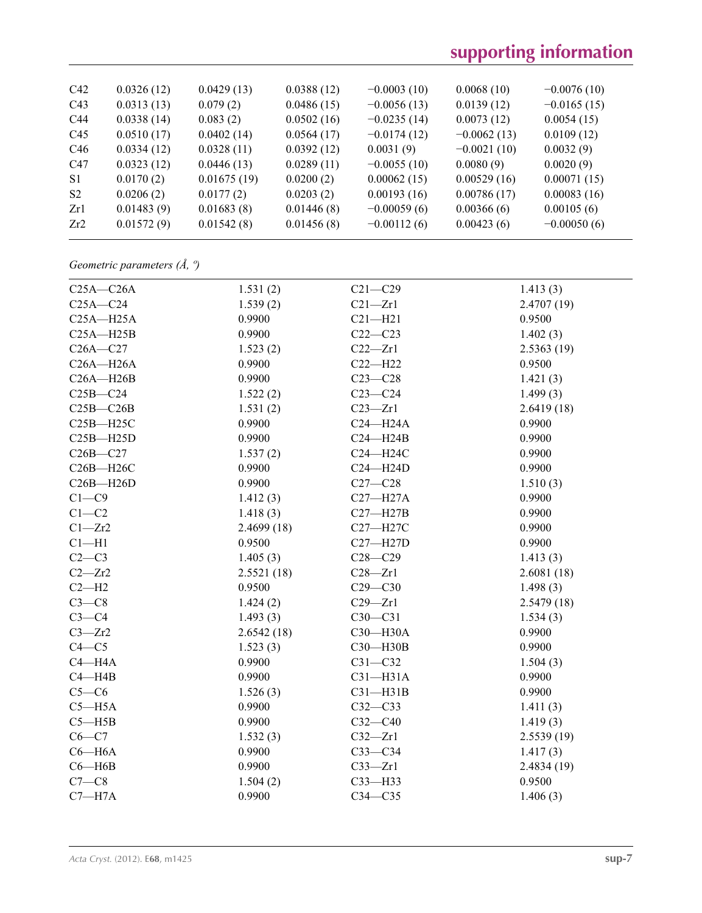| C42            | 0.0326(12) | 0.0429(13)  | 0.0388(12) | $-0.0003(10)$ | 0.0068(10)    | $-0.0076(10)$ |
|----------------|------------|-------------|------------|---------------|---------------|---------------|
| C43            | 0.0313(13) | 0.079(2)    | 0.0486(15) | $-0.0056(13)$ | 0.0139(12)    | $-0.0165(15)$ |
| C44            | 0.0338(14) | 0.083(2)    | 0.0502(16) | $-0.0235(14)$ | 0.0073(12)    | 0.0054(15)    |
| C45            | 0.0510(17) | 0.0402(14)  | 0.0564(17) | $-0.0174(12)$ | $-0.0062(13)$ | 0.0109(12)    |
| C46            | 0.0334(12) | 0.0328(11)  | 0.0392(12) | 0.0031(9)     | $-0.0021(10)$ | 0.0032(9)     |
| C47            | 0.0323(12) | 0.0446(13)  | 0.0289(11) | $-0.0055(10)$ | 0.0080(9)     | 0.0020(9)     |
| S <sub>1</sub> | 0.0170(2)  | 0.01675(19) | 0.0200(2)  | 0.00062(15)   | 0.00529(16)   | 0.00071(15)   |
| S <sub>2</sub> | 0.0206(2)  | 0.0177(2)   | 0.0203(2)  | 0.00193(16)   | 0.00786(17)   | 0.00083(16)   |
| Zr1            | 0.01483(9) | 0.01683(8)  | 0.01446(8) | $-0.00059(6)$ | 0.00366(6)    | 0.00105(6)    |
| Zr2            | 0.01572(9) | 0.01542(8)  | 0.01456(8) | $-0.00112(6)$ | 0.00423(6)    | $-0.00050(6)$ |
|                |            |             |            |               |               |               |

## *Geometric parameters (Å, º)*

| $C25A - C26A$ | 1.531(2)   | $C21 - C29$  | 1.413(3)    |
|---------------|------------|--------------|-------------|
| $C25A - C24$  | 1.539(2)   | $C21 - Zr1$  | 2.4707 (19) |
| $C25A - H25A$ | 0.9900     | $C21 - H21$  | 0.9500      |
| $C25A - H25B$ | 0.9900     | $C22-C23$    | 1.402(3)    |
| $C26A - C27$  | 1.523(2)   | $C22 - Zr1$  | 2.5363 (19) |
| $C26A - H26A$ | 0.9900     | $C22 - H22$  | 0.9500      |
| $C26A - H26B$ | 0.9900     | $C23-C28$    | 1.421(3)    |
| $C25B - C24$  | 1.522(2)   | $C23-C24$    | 1.499(3)    |
| $C25B - C26B$ | 1.531(2)   | $C23 - Zr1$  | 2.6419(18)  |
| $C25B - H25C$ | 0.9900     | $C24 - H24A$ | 0.9900      |
| $C25B - H25D$ | 0.9900     | $C24 - H24B$ | 0.9900      |
| $C26B - C27$  | 1.537(2)   | C24-H24C     | 0.9900      |
| $C26B - H26C$ | 0.9900     | $C24 - H24D$ | 0.9900      |
| $C26B - H26D$ | 0.9900     | $C27-C28$    | 1.510(3)    |
| $C1 - C9$     | 1.412(3)   | $C27 - H27A$ | 0.9900      |
| $C1-C2$       | 1.418(3)   | $C27 - H27B$ | 0.9900      |
| $C1 - Zr2$    | 2.4699(18) | C27-H27C     | 0.9900      |
| $Cl-H1$       | 0.9500     | $C27 - H27D$ | 0.9900      |
| $C2-C3$       | 1.405(3)   | $C28 - C29$  | 1.413(3)    |
| $C2 - Zr2$    | 2.5521(18) | $C28 - Zr1$  | 2.6081(18)  |
| $C2-H2$       | 0.9500     | $C29 - C30$  | 1.498(3)    |
| $C3-C8$       | 1.424(2)   | $C29 - Zr1$  | 2.5479(18)  |
| $C3-C4$       | 1.493(3)   | $C30-C31$    | 1.534(3)    |
| $C3 - Zr2$    | 2.6542(18) | C30-H30A     | 0.9900      |
| $C4 - C5$     | 1.523(3)   | C30-H30B     | 0.9900      |
| $C4 - H4A$    | 0.9900     | $C31 - C32$  | 1.504(3)    |
| $C4 - H4B$    | 0.9900     | $C31-H31A$   | 0.9900      |
| $C5-C6$       | 1.526(3)   | $C31 - H31B$ | 0.9900      |
| $C5 - H5A$    | 0.9900     | $C32-C33$    | 1.411(3)    |
| $C5 - H5B$    | 0.9900     | $C32-C40$    | 1.419(3)    |
| $C6-C7$       | 1.532(3)   | $C32 - Zr1$  | 2.5539(19)  |
| $C6 - H6A$    | 0.9900     | $C33-C34$    | 1.417(3)    |
| $C6 - H6B$    | 0.9900     | $C33 - Zr1$  | 2.4834(19)  |
| $C7-C8$       | 1.504(2)   | $C33 - H33$  | 0.9500      |
| $C7 - H7A$    | 0.9900     | $C34 - C35$  | 1.406(3)    |
|               |            |              |             |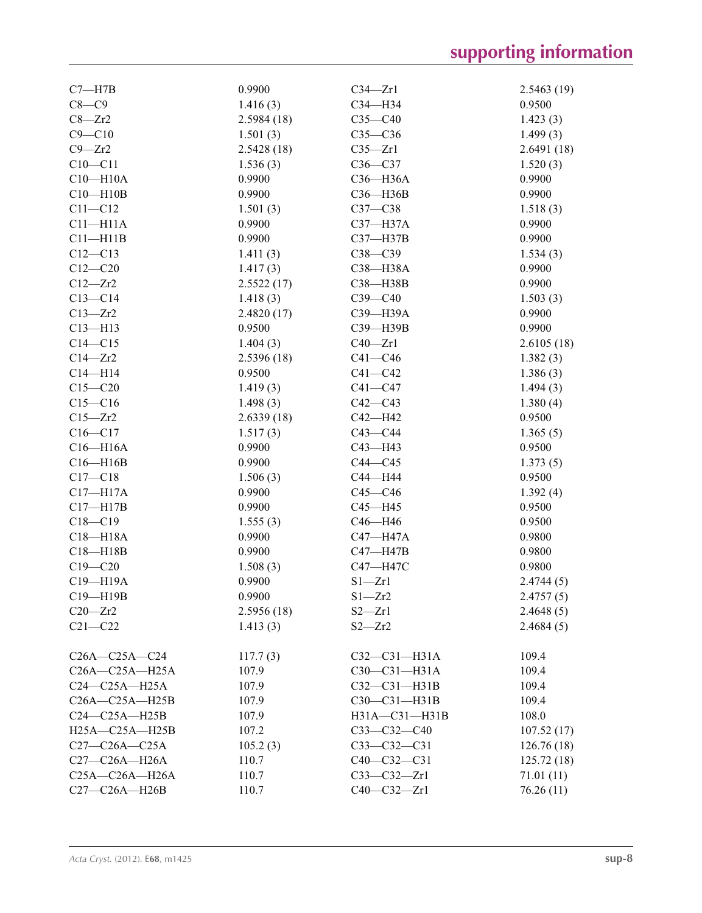| $C7 - H7B$           | 0.9900             | $C34 - Zr1$        | 2.5463(19) |
|----------------------|--------------------|--------------------|------------|
| $C8-C9$              | 1.416(3)           | C34-H34            | 0.9500     |
| $C8 - Zr2$           | 2.5984(18)         | $C35 - C40$        | 1.423(3)   |
| $C9 - C10$           | 1.501(3)           | $C35-C36$          | 1.499(3)   |
| $C9 - Zr2$           | 2.5428(18)         | $C35 - Zr1$        | 2.6491(18) |
| $C10 - C11$          | 1.536(3)           | $C36-C37$          | 1.520(3)   |
| $C10 - H10A$         | 0.9900             | C36-H36A           | 0.9900     |
| $C10 - H10B$         | 0.9900             | C36-H36B           | 0.9900     |
| $C11 - C12$          | 1.501(3)           | $C37-C38$          | 1.518(3)   |
| $C11 - H11A$         | 0.9900             | C37-H37A           | 0.9900     |
| $C11 - H11B$         | 0.9900             | $C37 - H37B$       | 0.9900     |
| $C12 - C13$          | 1.411(3)           | $C38 - C39$        | 1.534(3)   |
| $C12 - C20$          | 1.417(3)           | C38-H38A           | 0.9900     |
| $C12 - Zr2$          | 2.5522(17)         | C38-H38B           | 0.9900     |
| $C13-C14$            | 1.418(3)           | $C39 - C40$        | 1.503(3)   |
| $C13 - Zr2$          | 2.4820(17)         | C39-H39A           | 0.9900     |
| $C13 - H13$          | 0.9500             | C39-H39B           | 0.9900     |
| $C14 - C15$          | 1.404(3)           | $C40 - Zr1$        | 2.6105(18) |
| $C14 - Zr2$          | 2.5396(18)         | $C41 - C46$        | 1.382(3)   |
| $C14 - H14$          | 0.9500             | $C41 - C42$        | 1.386(3)   |
| $C15 - C20$          | 1.419(3)           | $C41 - C47$        | 1.494(3)   |
| $C15-C16$            | 1.498(3)           | $C42 - C43$        | 1.380(4)   |
| $C15 - Zr2$          | 2.6339(18)         | $C42 - H42$        | 0.9500     |
| $C16 - C17$          | 1.517(3)           | $C43 - C44$        | 1.365(5)   |
| $C16 - H16A$         | 0.9900             | $C43 - H43$        | 0.9500     |
| $C16 - H16B$         | 0.9900             | $C44 - C45$        | 1.373(5)   |
| $C17 - C18$          | 1.506(3)           | C44-H44            | 0.9500     |
| $C17 - H17A$         | 0.9900             | $C45 - C46$        |            |
|                      | 0.9900             |                    | 1.392(4)   |
| $C17 - H17B$         |                    | $C45 - H45$        | 0.9500     |
| $C18 - C19$          | 1.555(3)<br>0.9900 | C46-H46            | 0.9500     |
| $C18 - H18A$         |                    | C47-H47A           | 0.9800     |
| $C18 - H18B$         | 0.9900             | $C47 - H47B$       | 0.9800     |
| $C19 - C20$          | 1.508(3)           | C47-H47C           | 0.9800     |
| C19-H19A             | 0.9900             | $S1 - Zr1$         | 2.4744(5)  |
| C19-H19B             | 0.9900             | $S1 - Zr2$         | 2.4757(5)  |
| $C20 - Zr2$          | 2.5956 (18)        | $S2 - Zr1$         | 2.4648(5)  |
| $C21 - C22$          | 1.413(3)           | $S2 - Zr2$         | 2.4684(5)  |
| $C26A - C25A - C24$  | 117.7(3)           | $C32 - C31 - H31A$ | 109.4      |
| C26A-C25A-H25A       | 107.9              | C30-C31-H31A       | 109.4      |
| $C24-C25A-H25A$      | 107.9              | $C32-C31-H31B$     | 109.4      |
| $C26A - C25A - H25B$ | 107.9              | $C30-C31-H31B$     | 109.4      |
| $C24-C25A-H25B$      | 107.9              | H31A-C31-H31B      | 108.0      |
| $H25A - C25A - H25B$ | 107.2              | $C33-C32-C40$      | 107.52(17) |
| $C27-C26A-C25A$      | 105.2(3)           | $C33 - C32 - C31$  | 126.76(18) |
| C27-C26A-H26A        | 110.7              | $C40 - C32 - C31$  | 125.72(18) |
| $C25A - C26A - H26A$ | 110.7              | $C33 - C32 - Zr1$  | 71.01 (11) |
| C27-C26A-H26B        | 110.7              | $C40 - C32 - Zr1$  | 76.26 (11) |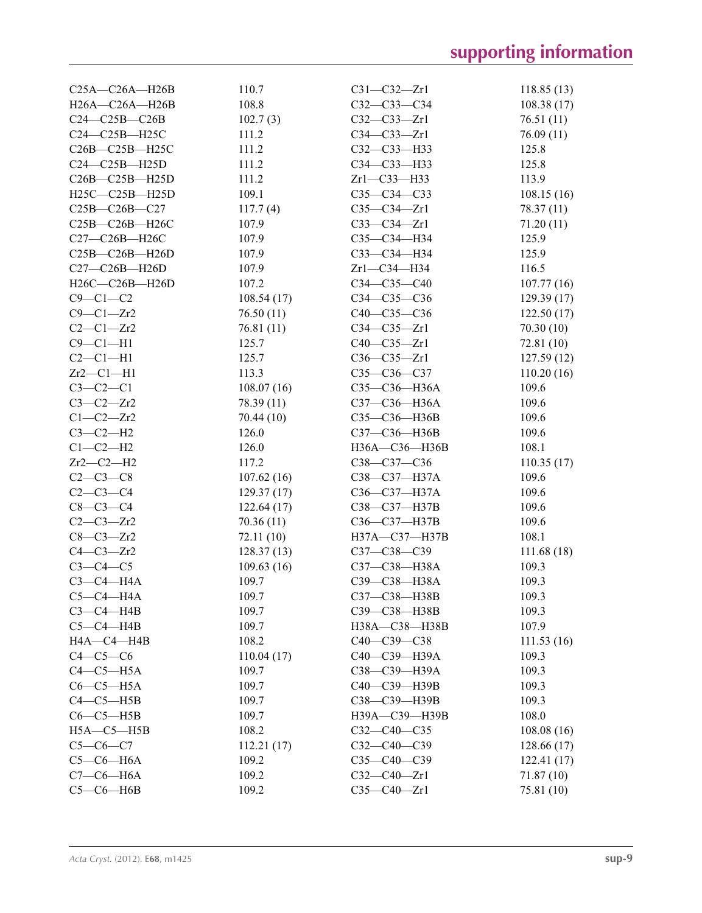| $C25A - C26A - H26B$ | 110.7      | $C31 - C32 - Zr1$  | 118.85(13) |
|----------------------|------------|--------------------|------------|
| H26A-C26A-H26B       | 108.8      | $C32 - C33 - C34$  | 108.38(17) |
| $C24-C25B-C26B$      | 102.7(3)   | $C32 - C33 - Zr1$  | 76.51(11)  |
| C24-C25B-H25C        | 111.2      | $C34-C33-Zr1$      | 76.09(11)  |
| C26B-C25B-H25C       | 111.2      | C32-C33-H33        | 125.8      |
| $C24-C25B-H25D$      | 111.2      | C34-C33-H33        | 125.8      |
| $C26B - C25B - H25D$ | 111.2      | $Zr1-C33-H33$      | 113.9      |
| H25C-C25B-H25D       | 109.1      | $C35-C34-C33$      | 108.15(16) |
| C25B-C26B-C27        | 117.7(4)   | $C35-C34-Zr1$      | 78.37 (11) |
| C25B-C26B-H26C       | 107.9      | $C33-C34-Zr1$      | 71.20 (11) |
| C27-C26B-H26C        | 107.9      | C35-C34-H34        | 125.9      |
| $C25B-C26B-H26D$     | 107.9      | C33-C34-H34        | 125.9      |
| $C27-C26B-H26D$      | 107.9      | $Zr1-C34-H34$      | 116.5      |
| H26C-C26B-H26D       | 107.2      | $C34 - C35 - C40$  | 107.77(16) |
| $C9-C1-C2$           | 108.54(17) | $C34 - C35 - C36$  | 129.39(17) |
| $C9 - C1 - Zr2$      | 76.50(11)  | $C40 - C35 - C36$  | 122.50(17) |
| $C2-C1-Zr2$          | 76.81(11)  | $C34-C35-Zr1$      | 70.30(10)  |
| $C9 - C1 - H1$       | 125.7      | $C40 - C35 - Zr1$  | 72.81 (10) |
| $C2-C1-H1$           | 125.7      | $C36 - C35 - Zr1$  | 127.59(12) |
| $Zr2-C1-H1$          | 113.3      | C35-C36-C37        | 110.20(16) |
| $C3-C2-C1$           | 108.07(16) | C35-C36-H36A       | 109.6      |
| $C3-C2-Zr2$          | 78.39 (11) | C37-C36-H36A       | 109.6      |
| $C1-C2-Zr2$          | 70.44(10)  | C35-C36-H36B       | 109.6      |
| $C3-C2-H2$           | 126.0      | C37-C36-H36B       | 109.6      |
| $C1-C2-H2$           | 126.0      | H36A-C36-H36B      | 108.1      |
| $Zr2-C2-H2$          | 117.2      | C38-C37-C36        | 110.35(17) |
| $C2-C3-C8$           | 107.62(16) | $C38 - C37 - H37A$ | 109.6      |
| $C2-C3-C4$           | 129.37(17) | C36-C37-H37A       | 109.6      |
| $C8-C3-C4$           | 122.64(17) | C38-C37-H37B       | 109.6      |
| $C2-C3-Zr2$          | 70.36(11)  | C36-C37-H37B       | 109.6      |
| $C8-C3-Zr2$          | 72.11 (10) | H37A-C37-H37B      | 108.1      |
| $C4 - C3 - Zr2$      | 128.37(13) | $C37 - C38 - C39$  | 111.68(18) |
| $C3-C4-C5$           | 109.63(16) | C37-C38-H38A       | 109.3      |
| $C3-C4-H4A$          | 109.7      | СЗ9-СЗ8-НЗ8А       | 109.3      |
| $C5-C4-H4A$          | 109.7      | C37-C38-H38B       | 109.3      |
| $C3-C4-H4B$          | 109.7      | C39-C38-H38B       | 109.3      |
| $C5-C4-HAB$          | 109.7      | H38A-C38-H38B      | 107.9      |
| HA—C4—H4B            | 108.2      | C40-C39-C38        | 111.53(16) |
| $C4-C5-C6$           | 110.04(17) | C40-C39-H39A       | 109.3      |
| $C4-C5-H5A$          | 109.7      | СЗ8-СЗ9-НЗ9А       | 109.3      |
| $C6-C5-H5A$          | 109.7      | C40-C39-H39B       | 109.3      |
| $C4-C5-HB$           | 109.7      | C38-C39-H39B       | 109.3      |
| $C6-C5-HSB$          | 109.7      | H39A-C39-H39B      | 108.0      |
| $H5A - C5 - H5B$     | 108.2      | $C32-C40-C35$      | 108.08(16) |
| $C5-C6-C7$           | 112.21(17) | $C32-C40-C39$      | 128.66(17) |
| $C5-C6-H6A$          | 109.2      | C35-C40-C39        | 122.41(17) |
| $C7-C6-H6A$          | 109.2      | $C32-C40-Zr1$      | 71.87(10)  |
| $C5-C6-HAB$          | 109.2      | $C35 - C40 - Zr1$  | 75.81 (10) |
|                      |            |                    |            |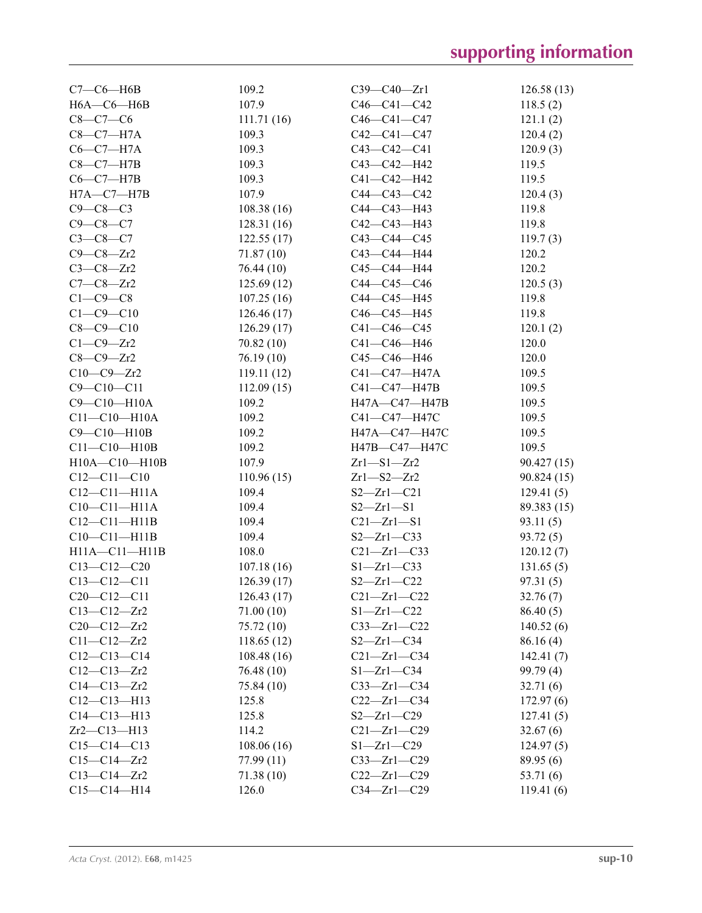| $C7-C6-H6B$        | 109.2      | $C39 - C40 - Zr1$ | 126.58(13)  |
|--------------------|------------|-------------------|-------------|
| $H6A - C6 - H6B$   | 107.9      | $C46 - C41 - C42$ | 118.5(2)    |
| $C8-C7-C6$         | 111.71(16) | $C46 - C41 - C47$ | 121.1(2)    |
| $C8-C7-H7A$        | 109.3      | $C42 - C41 - C47$ | 120.4(2)    |
| $C6-C7-H7A$        | 109.3      | C43-C42-C41       | 120.9(3)    |
| $C8-C7-H7B$        | 109.3      | C43-C42-H42       | 119.5       |
| $C6-C7-H7B$        | 109.3      | C41-C42-H42       | 119.5       |
| $H7A - C7 - H7B$   | 107.9      | $C44 - C43 - C42$ | 120.4(3)    |
| $C9 - C8 - C3$     | 108.38(16) | C44-C43-H43       | 119.8       |
| $C9 - C8 - C7$     | 128.31(16) | $C42 - C43 - H43$ | 119.8       |
| $C3 - C8 - C7$     | 122.55(17) | C43-C44-C45       | 119.7(3)    |
| $C9 - C8 - Zr2$    | 71.87 (10) | C43-C44-H44       | 120.2       |
| $C3-C8-Zr2$        | 76.44 (10) | C45-C44-H44       | 120.2       |
| $C7-C8-Zr2$        | 125.69(12) | C44-C45-C46       | 120.5(3)    |
| $C1-C9-C8$         | 107.25(16) | C44-C45-H45       | 119.8       |
| $C1 - C9 - C10$    | 126.46(17) | C46-C45-H45       | 119.8       |
| $C8 - C9 - C10$    | 126.29(17) | $C41 - C46 - C45$ | 120.1(2)    |
| $C1-C9-Zr2$        | 70.82(10)  | C41-C46-H46       | 120.0       |
| $C8-C9-Zr2$        | 76.19(10)  | C45-C46-H46       | 120.0       |
| $C10-C9-Zr2$       | 119.11(12) | C41-C47-H47A      | 109.5       |
| $C9 - C10 - C11$   | 112.09(15) | C41-C47-H47B      | 109.5       |
| C9-C10-H10A        | 109.2      | H47A-C47-H47B     | 109.5       |
| $C11 - C10 - H10A$ | 109.2      | C41-C47-H47C      | 109.5       |
| C9-C10-H10B        | 109.2      | H47A-C47-H47C     | 109.5       |
| $C11-C10-H10B$     | 109.2      | H47B-C47-H47C     | 109.5       |
| H10A-C10-H10B      | 107.9      | $Zr1 - S1 - Zr2$  | 90.427(15)  |
| $C12 - C11 - C10$  | 110.96(15) | $Zr1 - S2 - Zr2$  | 90.824(15)  |
| $C12-C11-H11A$     | 109.4      | $S2 - Zr1 - C21$  | 129.41(5)   |
| $C10-C11-H11A$     | 109.4      | $S2 - Zr1 - S1$   | 89.383 (15) |
| $C12-C11-H11B$     | 109.4      | $C21 - Zr1 - S1$  | 93.11(5)    |
| $C10-C11-H11B$     | 109.4      | $S2 - Zr1 - C33$  | 93.72(5)    |
| H11A-C11-H11B      | 108.0      | $C21 - Zr1 - C33$ | 120.12(7)   |
| $C13-C12-C20$      | 107.18(16) | $S1 - Zr1 - C33$  | 131.65(5)   |
| $C13 - C12 - C11$  | 126.39(17) | $S2 - Zr1 - C22$  | 97.31(5)    |
| $C20-C12-C11$      | 126.43(17) | $C21 - Zr1 - C22$ | 32.76(7)    |
| $C13 - C12 - Zr2$  | 71.00 (10) | $S1 - Zr1 - C22$  | 86.40(5)    |
| $C20 - C12 - Zr2$  | 75.72 (10) | $C33 - Zr1 - C22$ | 140.52(6)   |
| $C11 - C12 - Zr2$  | 118.65(12) | $S2 - Zr1 - C34$  | 86.16(4)    |
| $C12-C13-C14$      | 108.48(16) | $C21 - Zr1 - C34$ | 142.41(7)   |
| $C12 - C13 - Zr2$  | 76.48 (10) | $S1 - Zr1 - C34$  | 99.79(4)    |
| $C14 - C13 - Zr2$  | 75.84 (10) | $C33 - Zr1 - C34$ | 32.71(6)    |
| $C12 - C13 - H13$  | 125.8      | $C22 - Zr1 - C34$ | 172.97(6)   |
| $C14 - C13 - H13$  | 125.8      | $S2 - Zr1 - C29$  | 127.41(5)   |
| $Zr2-C13-H13$      | 114.2      | $C21 - Zr1 - C29$ | 32.67(6)    |
| $C15-C14-C13$      | 108.06(16) | $S1 - Zr1 - C29$  | 124.97(5)   |
| $C15 - C14 - Zr2$  | 77.99 (11) | $C33 - Zr1 - C29$ | 89.95(6)    |
| $C13 - C14 - Zr2$  | 71.38(10)  | $C22 - Zr1 - C29$ | 53.71 (6)   |
| $C15-C14-H14$      | 126.0      | $C34 - Zr1 - C29$ | 119.41(6)   |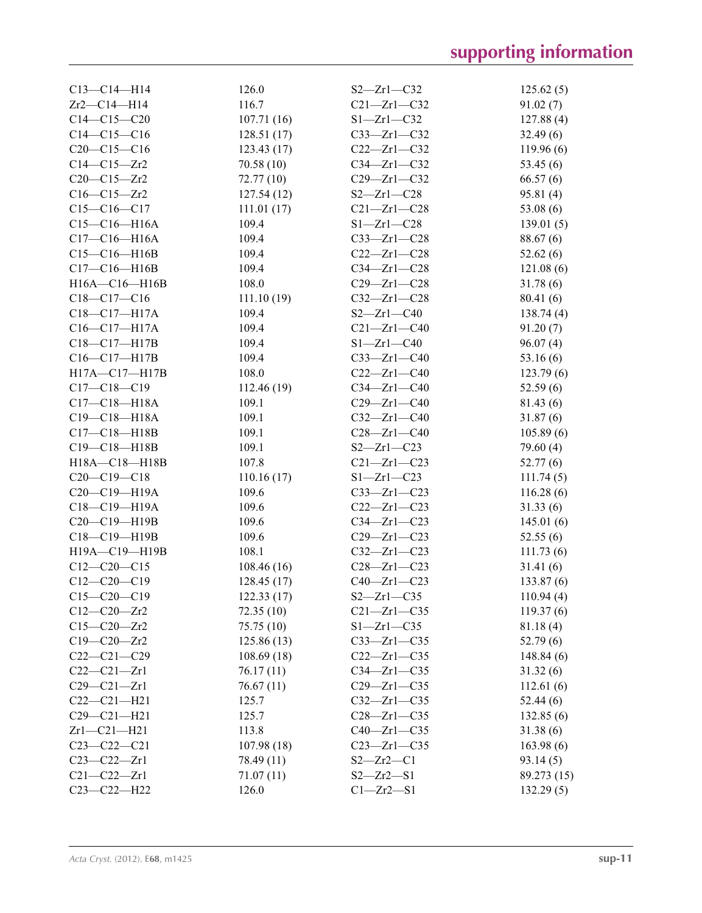| $C13 - C14 - H14$  | 126.0      | $S2 - Zr1 - C32$  | 125.62(5)   |
|--------------------|------------|-------------------|-------------|
| $Zr2-C14-H14$      | 116.7      | $C21 - Zr1 - C32$ | 91.02(7)    |
| $C14-C15-C20$      | 107.71(16) | $S1 - Zr1 - C32$  | 127.88(4)   |
| $C14 - C15 - C16$  | 128.51(17) | $C33 - Zr1 - C32$ | 32.49(6)    |
| $C20-C15-C16$      | 123.43(17) | $C22 - Zr1 - C32$ | 119.96(6)   |
| $C14 - C15 - Zr2$  | 70.58(10)  | $C34 - Zr1 - C32$ | 53.45 (6)   |
| $C20 - C15 - Zr2$  | 72.77 (10) | $C29 - Zr1 - C32$ | 66.57(6)    |
| $C16 - C15 - Zr2$  | 127.54(12) | $S2 - Zr1 - C28$  | 95.81(4)    |
| $C15-C16-C17$      | 111.01(17) | $C21 - Zr1 - C28$ | 53.08(6)    |
| $C15 - C16 - H16A$ | 109.4      | $S1 - Zr1 - C28$  | 139.01(5)   |
| $C17 - C16 - H16A$ | 109.4      | $C33 - Zr1 - C28$ | 88.67 (6)   |
| $C15-C16-H16B$     | 109.4      | $C22 - Zr1 - C28$ | 52.62(6)    |
| $C17-C16-H16B$     | 109.4      | $C34 - Zr1 - C28$ | 121.08(6)   |
| H16A-C16-H16B      | 108.0      | $C29 - Zr1 - C28$ | 31.78(6)    |
| $C18-C17-C16$      | 111.10(19) | $C32 - Zr1 - C28$ | 80.41(6)    |
| $C18 - C17 - H17A$ | 109.4      | $S2 - Zr1 - C40$  | 138.74(4)   |
| $C16 - C17 - H17A$ | 109.4      | $C21 - Zr1 - C40$ | 91.20(7)    |
| C18-C17-H17B       | 109.4      | $S1 - Zr1 - C40$  | 96.07(4)    |
| $C16 - C17 - H17B$ | 109.4      | $C33 - Zr1 - C40$ | 53.16(6)    |
| H17A-C17-H17B      | 108.0      | $C22 - Zr1 - C40$ | 123.79(6)   |
| $C17 - C18 - C19$  | 112.46(19) | $C34 - Zr1 - C40$ | 52.59(6)    |
| $C17 - C18 - H18A$ | 109.1      | $C29 - Zr1 - C40$ | 81.43 (6)   |
| $C19 - C18 - H18A$ | 109.1      | $C32 - Zr1 - C40$ | 31.87(6)    |
| $C17 - C18 - H18B$ | 109.1      | $C28 - Zr1 - C40$ | 105.89(6)   |
| C19-C18-H18B       | 109.1      | $S2 - Zr1 - C23$  | 79.60 (4)   |
| H18A-C18-H18B      | 107.8      | $C21 - Zr1 - C23$ | 52.77(6)    |
| $C20-C19-C18$      | 110.16(17) | $S1 - Zr1 - C23$  | 111.74(5)   |
| C20-C19-H19A       | 109.6      | $C33 - Zr1 - C23$ | 116.28(6)   |
| $C18 - C19 - H19A$ | 109.6      | $C22 - Zr1 - C23$ | 31.33(6)    |
| C20-C19-H19B       | 109.6      | $C34 - Zr1 - C23$ | 145.01(6)   |
| C18-C19-H19B       | 109.6      | $C29 - Zr1 - C23$ | 52.55(6)    |
| H19A-C19-H19B      | 108.1      | $C32 - Zr1 - C23$ | 111.73(6)   |
| $C12-C20-C15$      | 108.46(16) | $C28 - Zr1 - C23$ | 31.41(6)    |
| $C12-C20-C19$      | 128.45(17) | $C40 - Zr1 - C23$ | 133.87(6)   |
| $C15-C20-C19$      | 122.33(17) | $S2 - Zr1 - C35$  | 110.94(4)   |
| $C12-C20-Zr2$      | 72.35(10)  | $C21 - Zr1 - C35$ | 119.37(6)   |
| $C15 - C20 - Zr2$  | 75.75 (10) | $S1 - Zr1 - C35$  | 81.18(4)    |
| $C19 - C20 - Zr2$  | 125.86(13) | $C33 - Zr1 - C35$ | 52.79(6)    |
| $C22-C21-C29$      | 108.69(18) | $C22 - Zr1 - C35$ | 148.84(6)   |
| $C22-C21-Zr1$      | 76.17(11)  | $C34 - Zr1 - C35$ | 31.32(6)    |
| $C29 - C21 - Zr1$  | 76.67(11)  | $C29 - Zr1 - C35$ | 112.61(6)   |
| $C22-C21-H21$      | 125.7      | $C32 - Zr1 - C35$ | 52.44(6)    |
| $C29 - C21 - H21$  | 125.7      | $C28 - Zr1 - C35$ | 132.85(6)   |
| $Zr1-C21-H21$      | 113.8      | $C40 - Zr1 - C35$ | 31.38(6)    |
| $C23 - C22 - C21$  | 107.98(18) | $C23 - Zr1 - C35$ | 163.98(6)   |
| $C23 - C22 - Zr1$  | 78.49 (11) | $S2 - Zr2 - C1$   | 93.14(5)    |
| $C21 - C22 - Zr1$  | 71.07(11)  | $S2 - Zr2 - S1$   | 89.273 (15) |
| C23-C22-H22        | 126.0      | $Cl - Zr2 - S1$   | 132.29(5)   |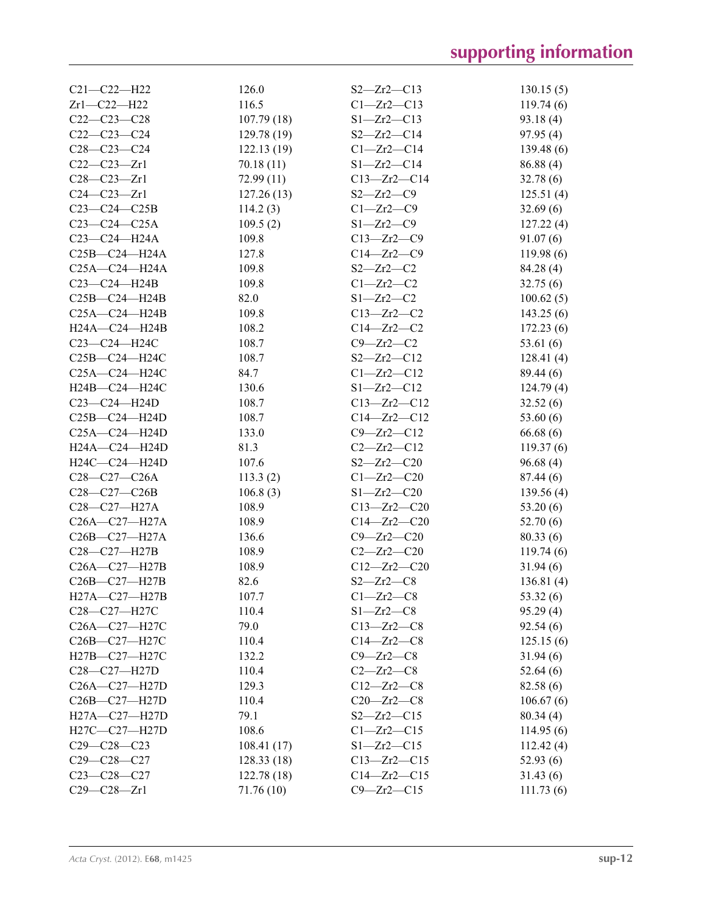| $C21 - C22 - H22$                                    | 126.0       | $S2 - Zr2 - C13$  | 130.15(5)             |
|------------------------------------------------------|-------------|-------------------|-----------------------|
| $Zr1-C22-H22$                                        | 116.5       | $C1 - Zr2 - C13$  | 119.74(6)             |
| $C22-C23-C28$                                        | 107.79(18)  | $S1 - Zr2 - C13$  | 93.18(4)              |
| $C22-C23-C24$                                        | 129.78(19)  | $S2 - Zr2 - C14$  | 97.95(4)              |
| $C28 - C23 - C24$                                    | 122.13(19)  | $Cl - Zr2 - Cl4$  | 139.48(6)             |
| $C22-C23-Zr1$                                        | 70.18(11)   | $S1 - Zr2 - C14$  | 86.88(4)              |
| $C28 - C23 - Zr1$                                    | 72.99(11)   | $C13 - Zr2 - C14$ | 32.78(6)              |
| $C24-C23-Zr1$                                        | 127.26(13)  | $S2 - Zr2 - C9$   | 125.51(4)             |
| $C23-C24-C25B$                                       | 114.2(3)    | $Cl - Zr2 - C9$   | 32.69(6)              |
| $C23-C24-C25A$                                       | 109.5(2)    | $S1 - Zr2 - C9$   | 127.22(4)             |
| C23-C24-H24A                                         | 109.8       | $C13 - Zr2 - C9$  | 91.07(6)              |
| C <sub>25</sub> B-C <sub>24</sub> -H <sub>24</sub> A | 127.8       | $C14 - Zr2 - C9$  | 119.98(6)             |
| $C25A - C24 - H24A$                                  | 109.8       | $S2 - Zr2 - C2$   | 84.28 (4)             |
| $C23-C24-H24B$                                       | 109.8       | $C1 - Zr2 - C2$   | 32.75(6)              |
| $C25B-C24-H24B$                                      | 82.0        | $S1 - Zr2 - C2$   | 100.62(5)             |
| $C25A - C24 - H24B$                                  | 109.8       | $C13 - Zr2 - C2$  | 143.25(6)             |
| $H24A - C24 - H24B$                                  | 108.2       | $C14 - Zr2 - C2$  | 172.23(6)             |
| C23-C24-H24C                                         | 108.7       | $C9 - Zr2 - C2$   | 53.61 $(6)$           |
| C25B-C24-H24C                                        | 108.7       | $S2 - Zr2 - C12$  | 128.41(4)             |
| $C25A - C24 - H24C$                                  | 84.7        | $Cl - Zr2 - Cl2$  | 89.44 (6)             |
| H24B-C24-H24C                                        | 130.6       | $S1 - Zr2 - C12$  | 124.79(4)             |
| $C23-C24-H24D$                                       | 108.7       | $C13 - Zr2 - C12$ | 32.52(6)              |
| $C25B-C24-H24D$                                      | 108.7       | $C14 - Zr2 - C12$ | 53.60 $(6)$           |
| $C25A - C24 - H24D$                                  | 133.0       | $C9 - Zr2 - C12$  | 66.68(6)              |
| $H24A - C24 - H24D$                                  | 81.3        | $C2 - Zr2 - C12$  |                       |
| $H24C-C24-H24D$                                      | 107.6       | $S2 - Zr2 - C20$  | 119.37(6)<br>96.68(4) |
|                                                      |             |                   |                       |
| $C28-C27-C26A$                                       | 113.3(2)    | $C1 - Zr2 - C20$  | 87.44(6)              |
| $C28-C27-C26B$                                       | 106.8(3)    | $S1 - Zr2 - C20$  | 139.56(4)             |
| C28-C27-H27A                                         | 108.9       | $C13 - Zr2 - C20$ | 53.20(6)              |
| C26A-C27-H27A                                        | 108.9       | $C14 - Zr2 - C20$ | 52.70(6)              |
| C26B-C27-H27A                                        | 136.6       | $C9 - Zr2 - C20$  | 80.33(6)              |
| C28-C27-H27B                                         | 108.9       | $C2 - Zr2 - C20$  | 119.74(6)             |
| C26A-C27-H27B                                        | 108.9       | $C12 - Zr2 - C20$ | 31.94(6)              |
| C26B-C27-H27B                                        | 82.6        | $S2 - Zr2 - C8$   | 136.81(4)             |
| H27A-C27-H27B                                        | 107.7       | $C1 - Zr2 - C8$   | 53.32(6)              |
| C28-C27-H27C                                         | 110.4       | $S1 - Zr2 - C8$   | 95.29(4)              |
| C26A-C27-H27C                                        | 79.0        | $C13 - Zr2 - C8$  | 92.54(6)              |
| C <sub>26</sub> B-C <sub>27</sub> -H <sub>27</sub> C | 110.4       | $C14 - Zr2 - C8$  | 125.15(6)             |
| H27B-C27-H27C                                        | 132.2       | $C9 - Zr2 - C8$   | 31.94(6)              |
| C <sub>28</sub> -C <sub>27</sub> -H <sub>27</sub> D  | 110.4       | $C2 - Zr2 - C8$   | 52.64(6)              |
| C26A-C27-H27D                                        | 129.3       | $C12 - Zr2 - C8$  | 82.58 (6)             |
| $C26B - C27 - H27D$                                  | 110.4       | $C20 - Zr2 - C8$  | 106.67(6)             |
| $H27A - C27 - H27D$                                  | 79.1        | $S2 - Zr2 - C15$  | 80.34(4)              |
| H27C-C27-H27D                                        | 108.6       | $Cl - Zr2 - C15$  | 114.95(6)             |
| $C29 - C28 - C23$                                    | 108.41(17)  | $S1 - Zr2 - C15$  | 112.42(4)             |
| $C29 - C28 - C27$                                    | 128.33 (18) | $C13 - Zr2 - C15$ | 52.93(6)              |
| $C23 - C28 - C27$                                    | 122.78(18)  | $C14 - Zr2 - C15$ | 31.43(6)              |
| $C29 - C28 - Zr1$                                    | 71.76 (10)  | $C9 - Zr2 - C15$  | 111.73(6)             |